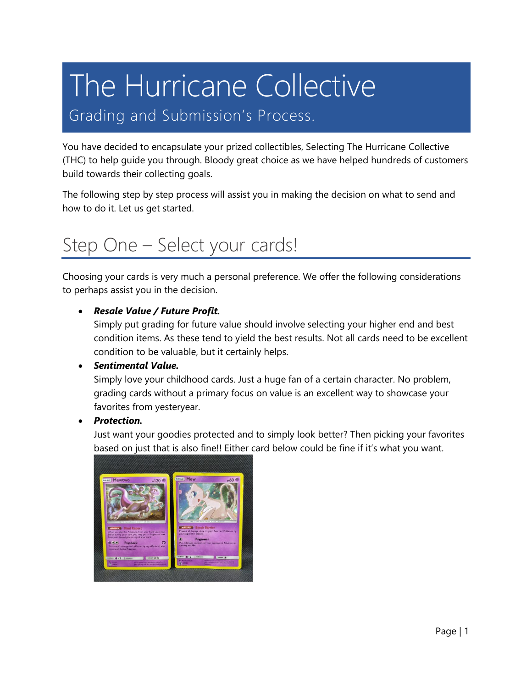# The Hurricane Collective

### Grading and Submission's Process.

You have decided to encapsulate your prized collectibles, Selecting The Hurricane Collective (THC) to help guide you through. Bloody great choice as we have helped hundreds of customers build towards their collecting goals.

The following step by step process will assist you in making the decision on what to send and how to do it. Let us get started.

### Step One – Select your cards!

Choosing your cards is very much a personal preference. We offer the following considerations to perhaps assist you in the decision.

### • *Resale Value / Future Profit.*

Simply put grading for future value should involve selecting your higher end and best condition items. As these tend to yield the best results. Not all cards need to be excellent condition to be valuable, but it certainly helps.

### • *Sentimental Value.*

Simply love your childhood cards. Just a huge fan of a certain character. No problem, grading cards without a primary focus on value is an excellent way to showcase your favorites from yesteryear.

### • *Protection.*

Just want your goodies protected and to simply look better? Then picking your favorites based on just that is also fine!! Either card below could be fine if it's what you want.

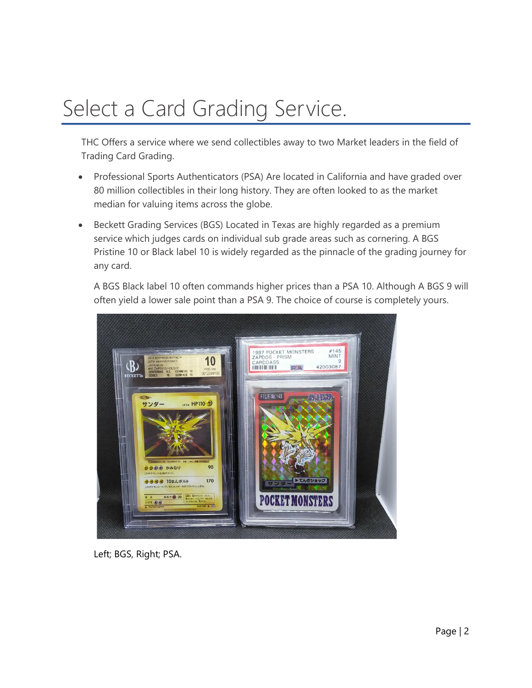## Select a Card Grading Service.

THC Offers a service where we send collectibles away to two Market leaders in the field of Trading Card Grading.

- Professional Sports Authenticators (PSA) Are located in California and have graded over 80 million collectibles in their long history. They are often looked to as the market median for valuing items across the globe.
- Beckett Grading Services (BGS) Located in Texas are highly regarded as a premium service which judges cards on individual sub grade areas such as cornering. A BGS Pristine 10 or Black label 10 is widely regarded as the pinnacle of the grading journey for any card.

A BGS Black label 10 often commands higher prices than a PSA 10. Although A BGS 9 will often yield a lower sale point than a PSA 9. The choice of course is completely yours.



Left; BGS, Right; PSA.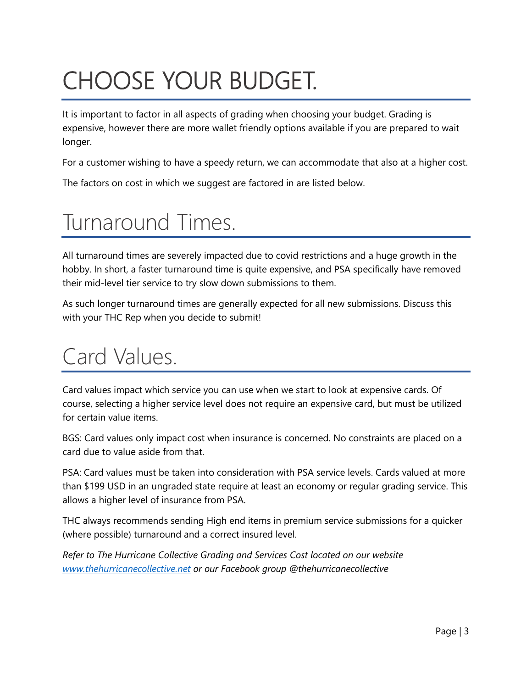## CHOOSE YOUR BUDGET.

It is important to factor in all aspects of grading when choosing your budget. Grading is expensive, however there are more wallet friendly options available if you are prepared to wait longer.

For a customer wishing to have a speedy return, we can accommodate that also at a higher cost.

The factors on cost in which we suggest are factored in are listed below.

## Turnaround Times.

All turnaround times are severely impacted due to covid restrictions and a huge growth in the hobby. In short, a faster turnaround time is quite expensive, and PSA specifically have removed their mid-level tier service to try slow down submissions to them.

As such longer turnaround times are generally expected for all new submissions. Discuss this with your THC Rep when you decide to submit!

## Card Values.

Card values impact which service you can use when we start to look at expensive cards. Of course, selecting a higher service level does not require an expensive card, but must be utilized for certain value items.

BGS: Card values only impact cost when insurance is concerned. No constraints are placed on a card due to value aside from that.

PSA: Card values must be taken into consideration with PSA service levels. Cards valued at more than \$199 USD in an ungraded state require at least an economy or regular grading service. This allows a higher level of insurance from PSA.

THC always recommends sending High end items in premium service submissions for a quicker (where possible) turnaround and a correct insured level.

*Refer to The Hurricane Collective Grading and Services Cost located on our website [www.thehurricanecollective.net](http://www.thehurricanecollective.net/) or our Facebook group @thehurricanecollective*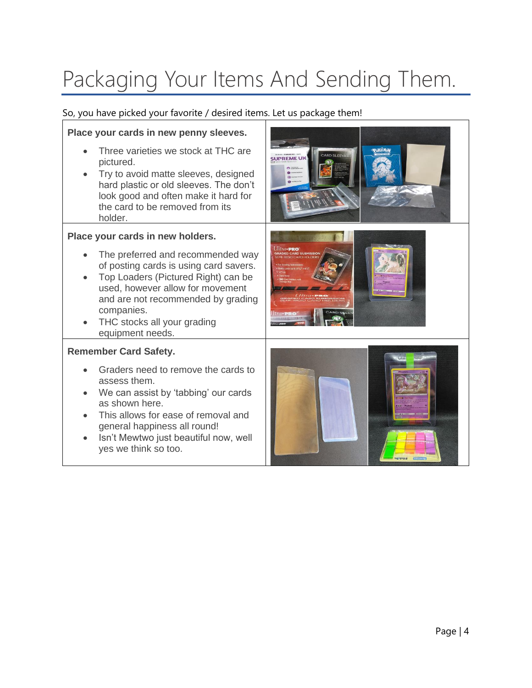## Packaging Your Items And Sending Them.

So, you have picked your favorite / desired items. Let us package them!

yes we think so too.

### **Place your cards in new penny sleeves.** • Three varieties we stock at THC are **SUPREMEL** pictured. • Try to avoid matte sleeves, designed hard plastic or old sleeves. The don't look good and often make it hard for the card to be removed from its holder. **Place your cards in new holders.**  • The preferred and recommended way of posting cards is using card savers. • Top Loaders (Pictured Right) can be used, however allow for movement and are not recommended by grading companies. • THC stocks all your grading equipment needs. **Remember Card Safety.**  • Graders need to remove the cards to assess them. • We can assist by 'tabbing' our cards as shown here. • This allows for ease of removal and general happiness all round! • Isn't Mewtwo just beautiful now, well